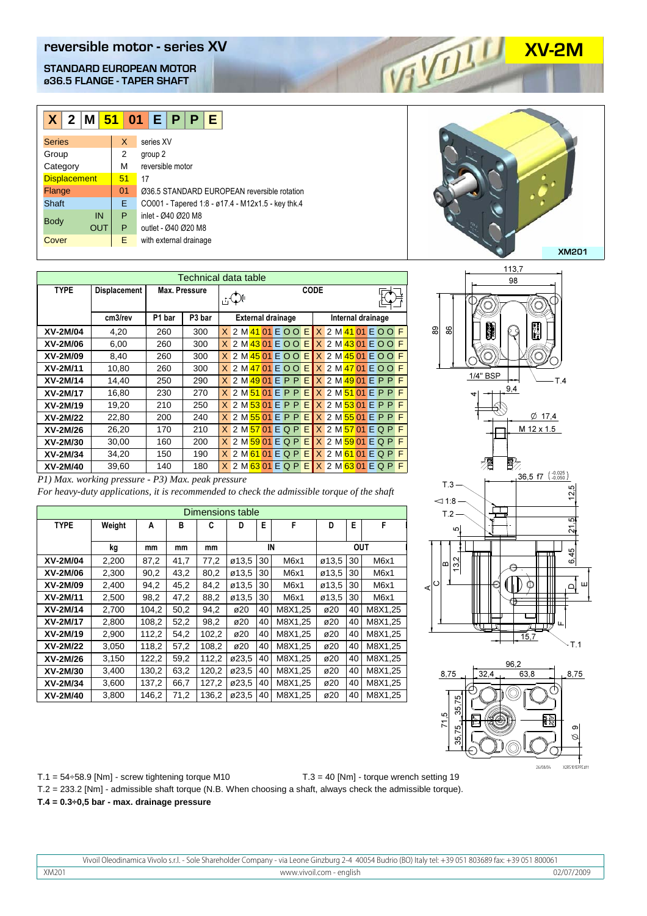**reversible motor - series XV**<br> **STANDARD EUROPEAN MOTOR**<br>
@36.5 FLANGE - TAPER SHAFT **STANDARD EUROPEAN MOTOR ø36.5 FLANGE - TAPER SHAFT**

| $X$ 2 M 51 01 E P P |            |    |                                                   |  | F |  |  |  |
|---------------------|------------|----|---------------------------------------------------|--|---|--|--|--|
| <b>Series</b>       |            | X  | series XV                                         |  |   |  |  |  |
| Group               |            | 2  | group 2                                           |  |   |  |  |  |
| Category            |            | м  | reversible motor                                  |  |   |  |  |  |
| <b>Displacement</b> |            | 51 | 17                                                |  |   |  |  |  |
| Flange              |            | 01 | Ø36.5 STANDARD EUROPEAN reversible rotation       |  |   |  |  |  |
| Shaft               |            | E. | CO001 - Tapered 1:8 - ø17.4 - M12x1.5 - key thk.4 |  |   |  |  |  |
|                     | IN         | P  | inlet - Ø40 Ø20 M8                                |  |   |  |  |  |
| <b>Body</b>         | <b>OUT</b> | P  | outlet - Ø40 Ø20 M8                               |  |   |  |  |  |
| Cover               |            | E. | with external drainage                            |  |   |  |  |  |
|                     |            |    |                                                   |  |   |  |  |  |

| Technical data table |                     |               |                    |                                                     |                                |  |  |  |
|----------------------|---------------------|---------------|--------------------|-----------------------------------------------------|--------------------------------|--|--|--|
| <b>TYPE</b>          | <b>Displacement</b> | Max. Pressure |                    | CODE                                                |                                |  |  |  |
|                      | cm3/rev             | P1 bar        | P <sub>3</sub> bar | <b>External drainage</b>                            | Internal drainage              |  |  |  |
| XV-2M/04             | 4,20                | 260           | 300                | 2 M 41 01 E O O E X 2 M 41 01 E O O<br>$\mathsf{X}$ | F                              |  |  |  |
| XV-2M/06             | 6,00                | 260           | 300                | X 2 M 43 01 E O O E X 2 M 43 01 E O O F             |                                |  |  |  |
| XV-2M/09             | 8,40                | 260           | 300                | 2 M 45 01 E O O E X 2 M 45 01 E O O                 | F                              |  |  |  |
| XV-2M/11             | 10,80               | 260           | 300                | 2 M 47 01 E O O E X 2 M 47 01 E O O<br>X            | F                              |  |  |  |
| XV-2M/14             | 14,40               | 250           | 290                | 2 M 49 01 E P P E X 2 M 49 01 E P P                 | F                              |  |  |  |
| XV-2M/17             | 16,80               | 230           | 270                | $X$ 2 M $51$ 01 E P P                               | $E$ $X$ 2 M $51$ 01 E P P<br>F |  |  |  |
| XV-2M/19             | 19,20               | 210           | 250                | 2 M <sub>53</sub> 01 E P P<br>EI<br>X.              | $X$ 2 M $53$ 01 E P P<br>F     |  |  |  |
| XV-2M/22             | 22,80               | 200           | 240                | 2 M 55 01 E P P E X 2 M 55 01 E P P                 | F                              |  |  |  |
| XV-2M/26             | 26,20               | 170           | 210                | 2 M <sub>57</sub> 01 E Q P<br>$\times$              | $E$ $X$ 2 M $57$ 01 E Q P<br>F |  |  |  |
| XV-2M/30             | 30,00               | 160           | 200                | $X$ 2 M $59$ 01 E Q P                               | $E$ $X$ 2 M $59$ 01 E Q P<br>F |  |  |  |
| XV-2M/34             | 34,20               | 150           | 190                | $X$ 2 M 61 01 E Q P<br>EI                           | $X$ 2 M 61 01 E Q P<br>F       |  |  |  |
| XV-2M/40             | 39,60               | 140           | 180                | 2 M 63 01 E Q P E X 2 M 63 01 E Q P                 | F                              |  |  |  |

| P1) Max. working pressure - P3) Max. peak pressure |                                                                                            |  |
|----------------------------------------------------|--------------------------------------------------------------------------------------------|--|
|                                                    | For heavy-duty applications, it is recommended to check the admissible torque of the shaft |  |

| Dimensions table |        |       |      |       |       |    |         |       |            |         |
|------------------|--------|-------|------|-------|-------|----|---------|-------|------------|---------|
| <b>TYPE</b>      | Weight | A     | B    | C     | D     | E  | F       | D     | E          | F       |
|                  | kg     | mm    | mm   | mm    |       | IN |         |       | <b>OUT</b> |         |
| XV-2M/04         | 2,200  | 87,2  | 41,7 | 77,2  | ø13,5 | 30 | M6x1    | ø13,5 | 30         | M6x1    |
| XV-2M/06         | 2,300  | 90,2  | 43,2 | 80,2  | ø13,5 | 30 | M6x1    | ø13,5 | 30         | M6x1    |
| XV-2M/09         | 2,400  | 94,2  | 45,2 | 84,2  | ø13,5 | 30 | M6x1    | ø13,5 | 30         | M6x1    |
| XV-2M/11         | 2,500  | 98,2  | 47,2 | 88,2  | ø13,5 | 30 | M6x1    | ø13,5 | 30         | M6x1    |
| XV-2M/14         | 2,700  | 104,2 | 50,2 | 94,2  | ø20   | 40 | M8X1,25 | ø20   | 40         | M8X1,25 |
| XV-2M/17         | 2,800  | 108,2 | 52,2 | 98,2  | ø20   | 40 | M8X1.25 | ø20   | 40         | M8X1.25 |
| XV-2M/19         | 2,900  | 112,2 | 54,2 | 102,2 | ø20   | 40 | M8X1,25 | ø20   | 40         | M8X1,25 |
| XV-2M/22         | 3,050  | 118,2 | 57,2 | 108,2 | ø20   | 40 | M8X1,25 | ø20   | 40         | M8X1,25 |
| XV-2M/26         | 3,150  | 122,2 | 59,2 | 112,2 | ø23.5 | 40 | M8X1,25 | ø20   | 40         | M8X1,25 |
| XV-2M/30         | 3,400  | 130,2 | 63,2 | 120,2 | ø23,5 | 40 | M8X1,25 | ø20   | 40         | M8X1,25 |
| XV-2M/34         | 3,600  | 137,2 | 66,7 | 127,2 | ø23,5 | 40 | M8X1,25 | ø20   | 40         | M8X1,25 |
| XV-2M/40         | 3,800  | 146,2 | 71,2 | 136,2 | ø23,5 | 40 | M8X1.25 | ø20   | 40         | M8X1,25 |

## **XM201**





 $T.1 = 54 \div 58.9$  [Nm] - screw tightening torque M10 T.2 = 233.2 [Nm] - admissible shaft torque (N.B. When choosing a shaft, always check the admissible torque). **T.4 = 0.3÷0,5 bar - max. drainage pressure** T.3 = 40 [Nm] - torque wrench setting 19

Vivoil Oleodinamica Vivolo s.r.l. - Sole Shareholder Company - via Leone Ginzburg 2-4 40054 Budrio (BO) Italy tel: +39 051 803689 fax: +39 051 800061 XM201 www.vivoil.com - english 02/07/2009